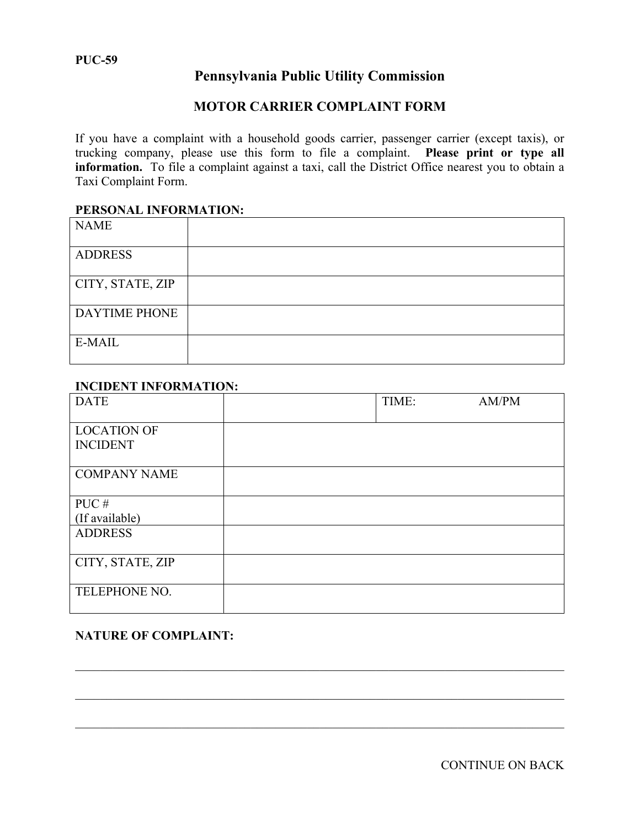# **Pennsylvania Public Utility Commission**

# **MOTOR CARRIER COMPLAINT FORM**

If you have a complaint with a household goods carrier, passenger carrier (except taxis), or trucking company, please use this form to file a complaint. **Please print or type all information.** To file a complaint against a taxi, call the District Office nearest you to obtain a Taxi Complaint Form.

#### **PERSONAL INFORMATION:**

| <b>NAME</b>          |  |
|----------------------|--|
| <b>ADDRESS</b>       |  |
| CITY, STATE, ZIP     |  |
| <b>DAYTIME PHONE</b> |  |
| E-MAIL               |  |

#### **INCIDENT INFORMATION:**

| <b>DATE</b>                           | TIME: | AM/PM |
|---------------------------------------|-------|-------|
| <b>LOCATION OF</b><br><b>INCIDENT</b> |       |       |
| <b>COMPANY NAME</b>                   |       |       |
| PUC#                                  |       |       |
| (If available)                        |       |       |
| <b>ADDRESS</b>                        |       |       |
| CITY, STATE, ZIP                      |       |       |
| TELEPHONE NO.                         |       |       |

### **NATURE OF COMPLAINT:**

CONTINUE ON BACK